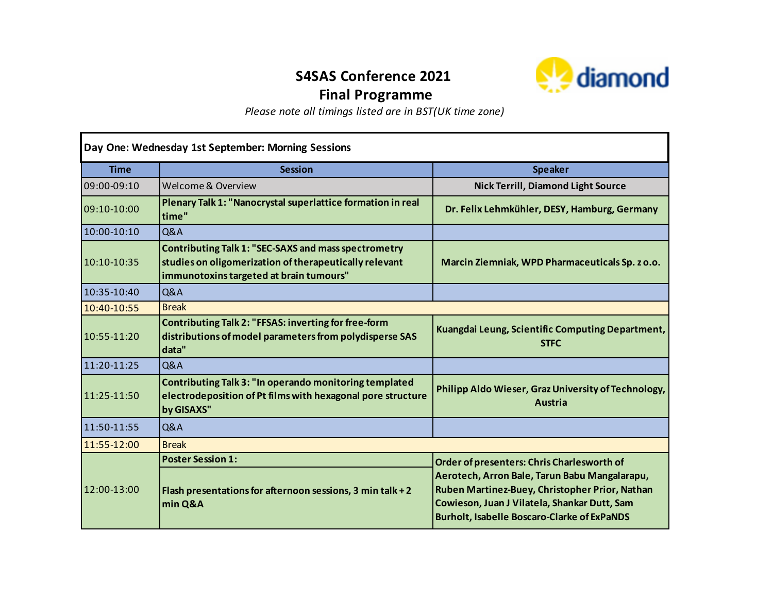## **S4SAS Conference 2021 Final Programme**



*Please note all timings listed are in BST(UK time zone)*

| Day One: Wednesday 1st September: Morning Sessions |                                                                                                                                                                  |                                                                                                                                                                                                       |  |
|----------------------------------------------------|------------------------------------------------------------------------------------------------------------------------------------------------------------------|-------------------------------------------------------------------------------------------------------------------------------------------------------------------------------------------------------|--|
| <b>Time</b>                                        | <b>Session</b>                                                                                                                                                   | <b>Speaker</b>                                                                                                                                                                                        |  |
| 09:00-09:10                                        | Welcome & Overview                                                                                                                                               | <b>Nick Terrill, Diamond Light Source</b>                                                                                                                                                             |  |
| 09:10-10:00                                        | Plenary Talk 1: "Nanocrystal superlattice formation in real<br>time"                                                                                             | Dr. Felix Lehmkühler, DESY, Hamburg, Germany                                                                                                                                                          |  |
| 10:00-10:10                                        | Q&A                                                                                                                                                              |                                                                                                                                                                                                       |  |
| 10:10-10:35                                        | <b>Contributing Talk 1: "SEC-SAXS and mass spectrometry</b><br>studies on oligomerization of therapeutically relevant<br>immunotoxins targeted at brain tumours" | Marcin Ziemniak, WPD Pharmaceuticals Sp. z o.o.                                                                                                                                                       |  |
| 10:35-10:40                                        | <b>Q&amp;A</b>                                                                                                                                                   |                                                                                                                                                                                                       |  |
| 10:40-10:55                                        | <b>Break</b>                                                                                                                                                     |                                                                                                                                                                                                       |  |
| 10:55-11:20                                        | Contributing Talk 2: "FFSAS: inverting for free-form<br>distributions of model parameters from polydisperse SAS<br>data"                                         | Kuangdai Leung, Scientific Computing Department,<br><b>STFC</b>                                                                                                                                       |  |
| 11:20-11:25                                        | <b>Q&amp;A</b>                                                                                                                                                   |                                                                                                                                                                                                       |  |
| 11:25-11:50                                        | Contributing Talk 3: "In operando monitoring templated<br>electrodeposition of Pt films with hexagonal pore structure<br>by GISAXS"                              | Philipp Aldo Wieser, Graz University of Technology,<br>Austria                                                                                                                                        |  |
| 11:50-11:55                                        | <b>Q&amp;A</b>                                                                                                                                                   |                                                                                                                                                                                                       |  |
| 11:55-12:00                                        | <b>Break</b>                                                                                                                                                     |                                                                                                                                                                                                       |  |
| 12:00-13:00                                        | <b>Poster Session 1:</b>                                                                                                                                         | Order of presenters: Chris Charlesworth of                                                                                                                                                            |  |
|                                                    | Flash presentations for afternoon sessions, 3 min talk + 2<br>min Q&A                                                                                            | Aerotech, Arron Bale, Tarun Babu Mangalarapu,<br>Ruben Martinez-Buey, Christopher Prior, Nathan<br>Cowieson, Juan J Vilatela, Shankar Dutt, Sam<br><b>Burholt, Isabelle Boscaro-Clarke of ExPaNDS</b> |  |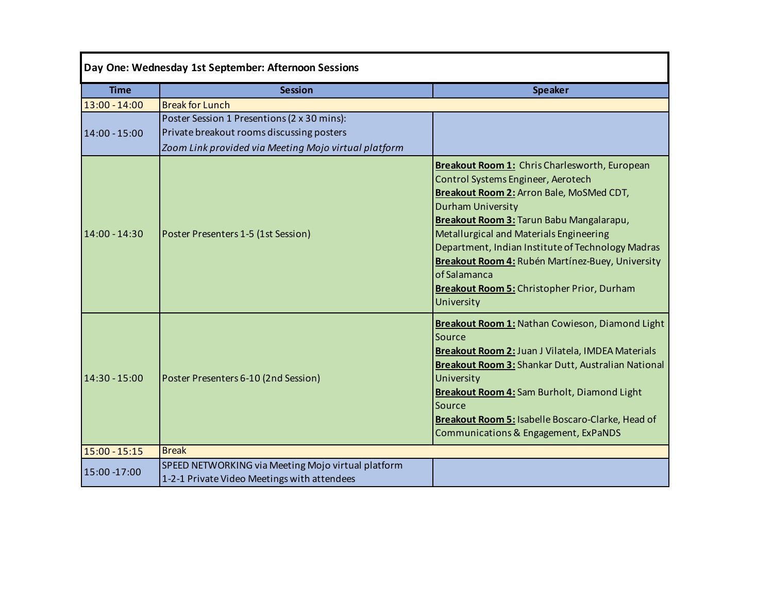| Day One: Wednesday 1st September: Afternoon Sessions |                                                                                          |                                                                                                                                                                                                                                                                                                                                                                                                                                                |  |  |
|------------------------------------------------------|------------------------------------------------------------------------------------------|------------------------------------------------------------------------------------------------------------------------------------------------------------------------------------------------------------------------------------------------------------------------------------------------------------------------------------------------------------------------------------------------------------------------------------------------|--|--|
| <b>Time</b>                                          | <b>Session</b>                                                                           | <b>Speaker</b>                                                                                                                                                                                                                                                                                                                                                                                                                                 |  |  |
| $13:00 - 14:00$                                      | <b>Break for Lunch</b>                                                                   |                                                                                                                                                                                                                                                                                                                                                                                                                                                |  |  |
| 14:00 - 15:00                                        | Poster Session 1 Presentions (2 x 30 mins):<br>Private breakout rooms discussing posters |                                                                                                                                                                                                                                                                                                                                                                                                                                                |  |  |
|                                                      | Zoom Link provided via Meeting Mojo virtual platform                                     |                                                                                                                                                                                                                                                                                                                                                                                                                                                |  |  |
| 14:00 - 14:30                                        | Poster Presenters 1-5 (1st Session)                                                      | Breakout Room 1: Chris Charlesworth, European<br>Control Systems Engineer, Aerotech<br>Breakout Room 2: Arron Bale, MoSMed CDT,<br><b>Durham University</b><br>Breakout Room 3: Tarun Babu Mangalarapu,<br>Metallurgical and Materials Engineering<br>Department, Indian Institute of Technology Madras<br>Breakout Room 4: Rubén Martínez-Buey, University<br>of Salamanca<br><b>Breakout Room 5: Christopher Prior, Durham</b><br>University |  |  |
| $14:30 - 15:00$                                      | Poster Presenters 6-10 (2nd Session)                                                     | Breakout Room 1: Nathan Cowieson, Diamond Light<br>Source<br>Breakout Room 2: Juan J Vilatela, IMDEA Materials<br>Breakout Room 3: Shankar Dutt, Australian National<br>University<br>Breakout Room 4: Sam Burholt, Diamond Light<br>Source<br>Breakout Room 5: Isabelle Boscaro-Clarke, Head of<br>Communications & Engagement, ExPaNDS                                                                                                       |  |  |
| $15:00 - 15:15$                                      | <b>Break</b>                                                                             |                                                                                                                                                                                                                                                                                                                                                                                                                                                |  |  |
| 15:00 -17:00                                         | SPEED NETWORKING via Meeting Mojo virtual platform                                       |                                                                                                                                                                                                                                                                                                                                                                                                                                                |  |  |
|                                                      | 1-2-1 Private Video Meetings with attendees                                              |                                                                                                                                                                                                                                                                                                                                                                                                                                                |  |  |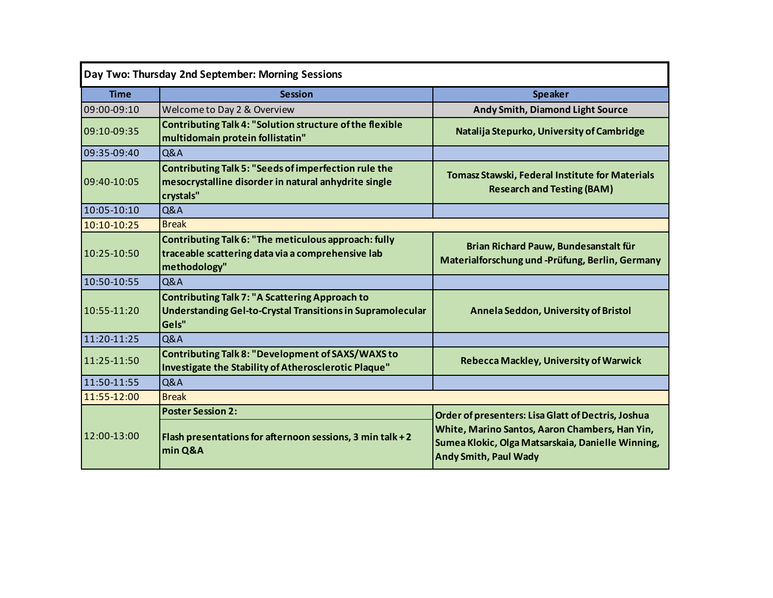| Day Two: Thursday 2nd September: Morning Sessions |                                                                                                                                  |                                                                                                                                     |  |
|---------------------------------------------------|----------------------------------------------------------------------------------------------------------------------------------|-------------------------------------------------------------------------------------------------------------------------------------|--|
| <b>Time</b>                                       | <b>Session</b>                                                                                                                   | <b>Speaker</b>                                                                                                                      |  |
| $09:00 - 09:10$                                   | Welcome to Day 2 & Overview                                                                                                      | Andy Smith, Diamond Light Source                                                                                                    |  |
| 09:10-09:35                                       | Contributing Talk 4: "Solution structure of the flexible<br>multidomain protein follistatin"                                     | Natalija Stepurko, University of Cambridge                                                                                          |  |
| 09:35-09:40                                       | <b>Q&amp;A</b>                                                                                                                   |                                                                                                                                     |  |
| 09:40-10:05                                       | <b>Contributing Talk 5: "Seeds of imperfection rule the</b><br>mesocrystalline disorder in natural anhydrite single<br>crystals" | <b>Tomasz Stawski, Federal Institute for Materials</b><br><b>Research and Testing (BAM)</b>                                         |  |
| 10:05-10:10                                       | Q&A                                                                                                                              |                                                                                                                                     |  |
| 10:10-10:25                                       | <b>Break</b>                                                                                                                     |                                                                                                                                     |  |
| 10:25-10:50                                       | Contributing Talk 6: "The meticulous approach: fully<br>traceable scattering data via a comprehensive lab<br>methodology"        | Brian Richard Pauw, Bundesanstalt für<br>Materialforschung und -Prüfung, Berlin, Germany                                            |  |
| 10:50-10:55                                       | Q&A                                                                                                                              |                                                                                                                                     |  |
| 10:55-11:20                                       | <b>Contributing Talk 7: "A Scattering Approach to</b><br>Understanding Gel-to-Crystal Transitions in Supramolecular<br>Gels"     | Annela Seddon, University of Bristol                                                                                                |  |
| 11:20-11:25                                       | Q&A                                                                                                                              |                                                                                                                                     |  |
| 11:25-11:50                                       | <b>Contributing Talk 8: "Development of SAXS/WAXS to</b><br>Investigate the Stability of Atherosclerotic Plaque"                 | <b>Rebecca Mackley, University of Warwick</b>                                                                                       |  |
| 11:50-11:55                                       | Q&A                                                                                                                              |                                                                                                                                     |  |
| 11:55-12:00                                       | <b>Break</b>                                                                                                                     |                                                                                                                                     |  |
|                                                   | <b>Poster Session 2:</b>                                                                                                         | Order of presenters: Lisa Glatt of Dectris, Joshua                                                                                  |  |
| 12:00-13:00                                       | Flash presentations for afternoon sessions, 3 min talk + 2<br>min Q&A                                                            | White, Marino Santos, Aaron Chambers, Han Yin,<br>Sumea Klokic, Olga Matsarskaia, Danielle Winning,<br><b>Andy Smith, Paul Wady</b> |  |
|                                                   |                                                                                                                                  |                                                                                                                                     |  |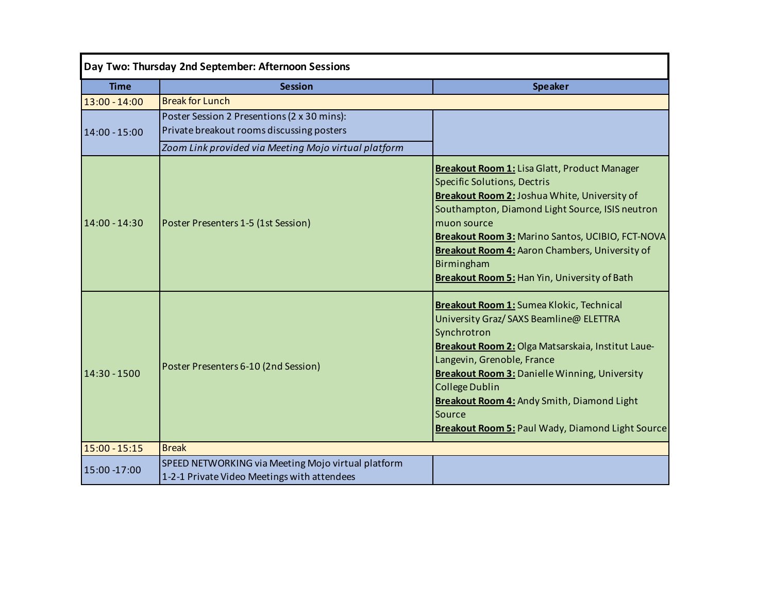| Day Two: Thursday 2nd September: Afternoon Sessions |                                                                                                   |                                                                                                                                                                                                                                                                                                                                                                                                  |  |  |
|-----------------------------------------------------|---------------------------------------------------------------------------------------------------|--------------------------------------------------------------------------------------------------------------------------------------------------------------------------------------------------------------------------------------------------------------------------------------------------------------------------------------------------------------------------------------------------|--|--|
| <b>Time</b>                                         | <b>Session</b>                                                                                    | <b>Speaker</b>                                                                                                                                                                                                                                                                                                                                                                                   |  |  |
| $13:00 - 14:00$                                     | <b>Break for Lunch</b>                                                                            |                                                                                                                                                                                                                                                                                                                                                                                                  |  |  |
|                                                     | Poster Session 2 Presentions (2 x 30 mins):                                                       |                                                                                                                                                                                                                                                                                                                                                                                                  |  |  |
| 14:00 - 15:00                                       | Private breakout rooms discussing posters                                                         |                                                                                                                                                                                                                                                                                                                                                                                                  |  |  |
|                                                     | Zoom Link provided via Meeting Mojo virtual platform                                              |                                                                                                                                                                                                                                                                                                                                                                                                  |  |  |
| 14:00 - 14:30                                       | Poster Presenters 1-5 (1st Session)                                                               | <b>Breakout Room 1: Lisa Glatt, Product Manager</b><br><b>Specific Solutions, Dectris</b><br>Breakout Room 2: Joshua White, University of<br>Southampton, Diamond Light Source, ISIS neutron<br>muon source<br>Breakout Room 3: Marino Santos, UCIBIO, FCT-NOVA<br><b>Breakout Room 4: Aaron Chambers, University of</b><br>Birmingham<br><b>Breakout Room 5: Han Yin, University of Bath</b>    |  |  |
| 14:30 - 1500                                        | Poster Presenters 6-10 (2nd Session)                                                              | Breakout Room 1: Sumea Klokic, Technical<br>University Graz/ SAXS Beamline@ ELETTRA<br>Synchrotron<br>Breakout Room 2: Olga Matsarskaia, Institut Laue-<br>Langevin, Grenoble, France<br><b>Breakout Room 3: Danielle Winning, University</b><br><b>College Dublin</b><br><b>Breakout Room 4: Andy Smith, Diamond Light</b><br>Source<br><b>Breakout Room 5: Paul Wady, Diamond Light Source</b> |  |  |
| 15:00 - 15:15                                       | <b>Break</b>                                                                                      |                                                                                                                                                                                                                                                                                                                                                                                                  |  |  |
| 15:00 -17:00                                        | SPEED NETWORKING via Meeting Mojo virtual platform<br>1-2-1 Private Video Meetings with attendees |                                                                                                                                                                                                                                                                                                                                                                                                  |  |  |